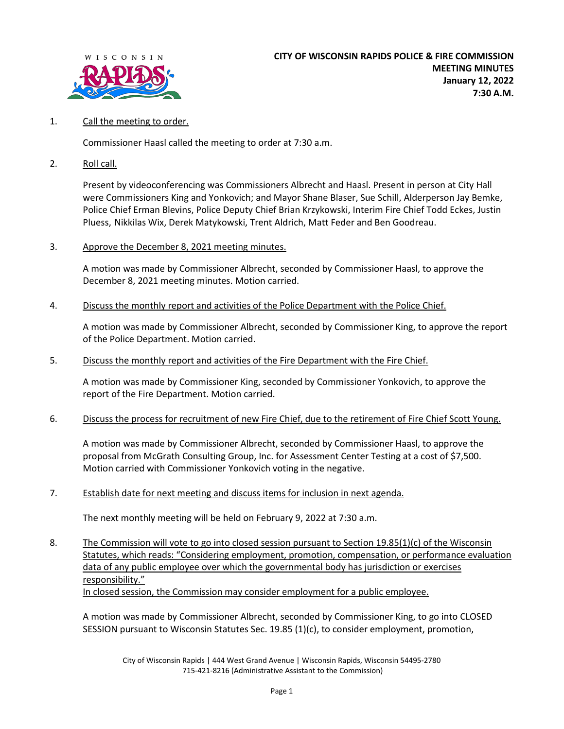

## 1. Call the meeting to order.

Commissioner Haasl called the meeting to order at 7:30 a.m.

2. Roll call.

Present by videoconferencing was Commissioners Albrecht and Haasl. Present in person at City Hall were Commissioners King and Yonkovich; and Mayor Shane Blaser, Sue Schill, Alderperson Jay Bemke, Police Chief Erman Blevins, Police Deputy Chief Brian Krzykowski, Interim Fire Chief Todd Eckes, Justin Pluess, Nikkilas Wix, Derek Matykowski, Trent Aldrich, Matt Feder and Ben Goodreau.

3. Approve the December 8, 2021 meeting minutes.

A motion was made by Commissioner Albrecht, seconded by Commissioner Haasl, to approve the December 8, 2021 meeting minutes. Motion carried.

4. Discuss the monthly report and activities of the Police Department with the Police Chief.

A motion was made by Commissioner Albrecht, seconded by Commissioner King, to approve the report of the Police Department. Motion carried.

5. Discuss the monthly report and activities of the Fire Department with the Fire Chief.

A motion was made by Commissioner King, seconded by Commissioner Yonkovich, to approve the report of the Fire Department. Motion carried.

6. Discuss the process for recruitment of new Fire Chief, due to the retirement of Fire Chief Scott Young.

A motion was made by Commissioner Albrecht, seconded by Commissioner Haasl, to approve the proposal from McGrath Consulting Group, Inc. for Assessment Center Testing at a cost of \$7,500. Motion carried with Commissioner Yonkovich voting in the negative.

7. Establish date for next meeting and discuss items for inclusion in next agenda.

The next monthly meeting will be held on February 9, 2022 at 7:30 a.m.

8. The Commission will vote to go into closed session pursuant to Section 19.85(1)(c) of the Wisconsin Statutes, which reads: "Considering employment, promotion, compensation, or performance evaluation data of any public employee over which the governmental body has jurisdiction or exercises responsibility." In closed session, the Commission may consider employment for a public employee.

A motion was made by Commissioner Albrecht, seconded by Commissioner King, to go into CLOSED SESSION pursuant to Wisconsin Statutes Sec. 19.85 (1)(c), to consider employment, promotion,